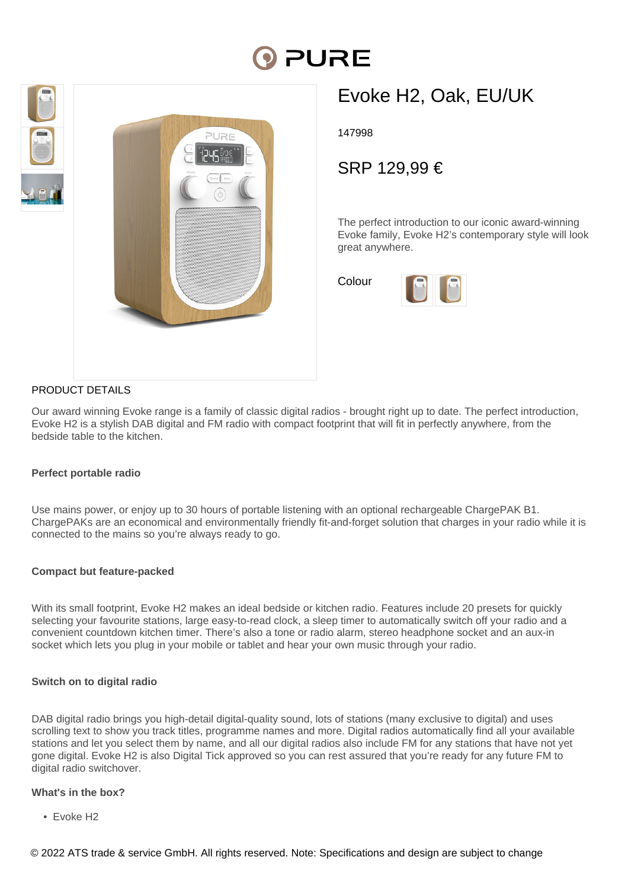# PURE





# Evoke H2, Oak, EU/UK

147998

SRP 129,99 €

The perfect introduction to our iconic award-winning Evoke family, Evoke H2's contemporary style will look great anywhere.

Colour



### PRODUCT DETAILS

Our award winning Evoke range is a family of classic digital radios - brought right up to date. The perfect introduction, Evoke H2 is a stylish DAB digital and FM radio with compact footprint that will fit in perfectly anywhere, from the bedside table to the kitchen.

#### **Perfect portable radio**

Use mains power, or enjoy up to 30 hours of portable listening with an optional rechargeable ChargePAK B1. ChargePAKs are an economical and environmentally friendly fit-and-forget solution that charges in your radio while it is connected to the mains so you're always ready to go.

#### **Compact but feature-packed**

With its small footprint, Evoke H2 makes an ideal bedside or kitchen radio. Features include 20 presets for quickly selecting your favourite stations, large easy-to-read clock, a sleep timer to automatically switch off your radio and a convenient countdown kitchen timer. There's also a tone or radio alarm, stereo headphone socket and an aux-in socket which lets you plug in your mobile or tablet and hear your own music through your radio.

#### **Switch on to digital radio**

DAB digital radio brings you high-detail digital-quality sound, lots of stations (many exclusive to digital) and uses scrolling text to show you track titles, programme names and more. Digital radios automatically find all your available stations and let you select them by name, and all our digital radios also include FM for any stations that have not yet gone digital. Evoke H2 is also Digital Tick approved so you can rest assured that you're ready for any future FM to digital radio switchover.

#### **What's in the box?**

• Evoke H2